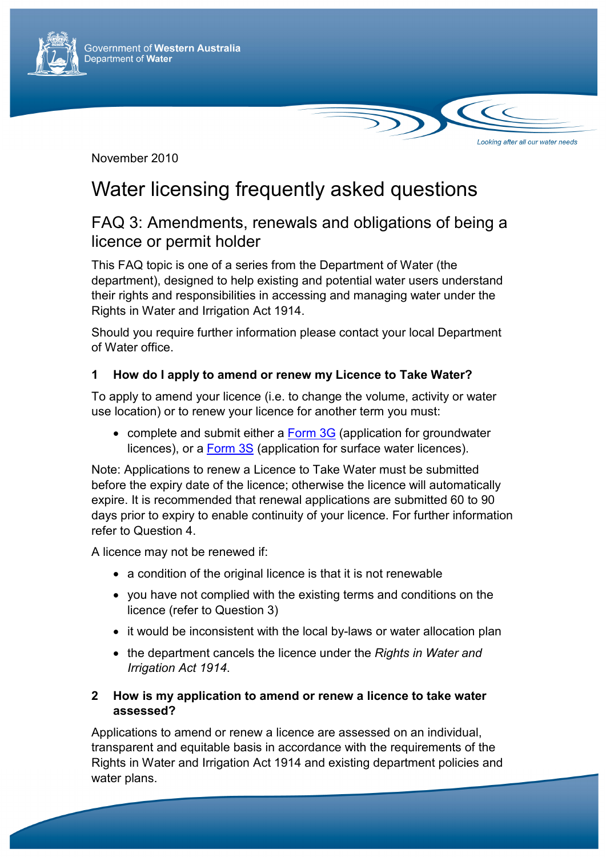

November 2010

# Water licensing frequently asked questions

### FAQ 3: Amendments, renewals and obligations of being a licence or permit holder

Looking after all our water needs

This FAQ topic is one of a series from the Department of Water (the department), designed to help existing and potential water users understand their rights and responsibilities in accessing and managing water under the Rights in Water and Irrigation Act 1914.

Should you require further information please contact your local Department of Water office.

#### **1 How do I apply to amend or renew my Licence to Take Water?**

To apply to amend your licence (i.e. to change the volume, activity or water use location) or to renew your licence for another term you must:

• complete and submit either a Form 3G (application for groundwater licences), or a Form 3S (application for surface water licences).

Note: Applications to renew a Licence to Take Water must be submitted before the expiry date of the licence; otherwise the licence will automatically expire. It is recommended that renewal applications are submitted 60 to 90 days prior to expiry to enable continuity of your licence. For further information refer to Question 4.

A licence may not be renewed if:

- a condition of the original licence is that it is not renewable
- you have not complied with the existing terms and conditions on the licence (refer to Question 3)
- it would be inconsistent with the local by-laws or water allocation plan
- the department cancels the licence under the *Rights in Water and Irrigation Act 1914*.

#### **2 How is my application to amend or renew a licence to take water assessed?**

Applications to amend or renew a licence are assessed on an individual, transparent and equitable basis in accordance with the requirements of the Rights in Water and Irrigation Act 1914 and existing department policies and water plans.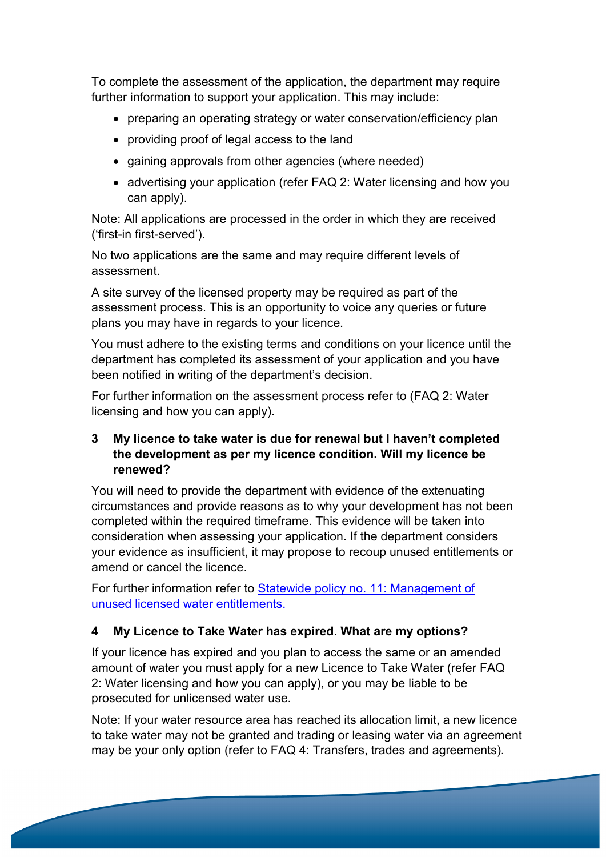To complete the assessment of the application, the department may require further information to support your application. This may include:

- preparing an operating strategy or water conservation/efficiency plan
- providing proof of legal access to the land
- gaining approvals from other agencies (where needed)
- advertising your application (refer FAQ 2: Water licensing and how you can apply).

Note: All applications are processed in the order in which they are received ('first-in first-served').

No two applications are the same and may require different levels of assessment.

A site survey of the licensed property may be required as part of the assessment process. This is an opportunity to voice any queries or future plans you may have in regards to your licence.

You must adhere to the existing terms and conditions on your licence until the department has completed its assessment of your application and you have been notified in writing of the department's decision.

For further information on the assessment process refer to (FAQ 2: Water licensing and how you can apply).

#### **3 My licence to take water is due for renewal but I haven't completed the development as per my licence condition. Will my licence be renewed?**

You will need to provide the department with evidence of the extenuating circumstances and provide reasons as to why your development has not been completed within the required timeframe. This evidence will be taken into consideration when assessing your application. If the department considers your evidence as insufficient, it may propose to recoup unused entitlements or amend or cancel the licence.

For further information refer to Statewide policy no. 11: Management of unused licensed water entitlements.

#### **4 My Licence to Take Water has expired. What are my options?**

If your licence has expired and you plan to access the same or an amended amount of water you must apply for a new Licence to Take Water (refer FAQ 2: Water licensing and how you can apply), or you may be liable to be prosecuted for unlicensed water use.

Note: If your water resource area has reached its allocation limit, a new licence to take water may not be granted and trading or leasing water via an agreement may be your only option (refer to FAQ 4: Transfers, trades and agreements).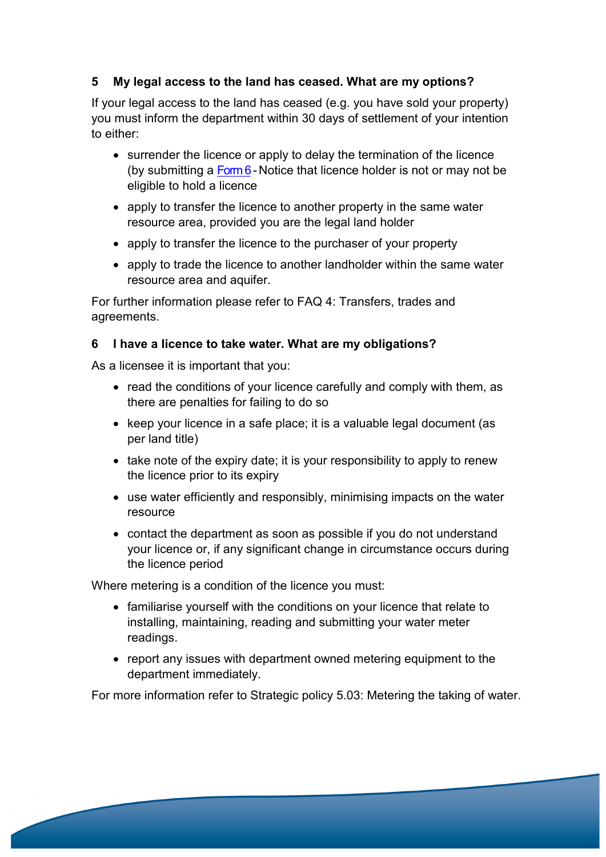#### **5 My legal access to the land has ceased. What are my options?**

If your legal access to the land has ceased (e.g. you have sold your property) you must inform the department within 30 days of settlement of your intention to either:

- surrender the licence or apply to delay the termination of the licence (by submitting a  $F<sub>om6</sub>$ -Notice that licence holder is not or may not be eligible to hold a licence
- apply to transfer the licence to another property in the same water resource area, provided you are the legal land holder
- apply to transfer the licence to the purchaser of your property
- apply to trade the licence to another landholder within the same water resource area and aquifer.

For further information please refer to FAQ 4: Transfers, trades and agreements.

#### **6 I have a licence to take water. What are my obligations?**

As a licensee it is important that you:

- read the conditions of your licence carefully and comply with them, as there are penalties for failing to do so
- keep your licence in a safe place; it is a valuable legal document (as per land title)
- take note of the expiry date; it is your responsibility to apply to renew the licence prior to its expiry
- use water efficiently and responsibly, minimising impacts on the water resource
- contact the department as soon as possible if you do not understand your licence or, if any significant change in circumstance occurs during the licence period

Where metering is a condition of the licence you must:

- familiarise yourself with the conditions on your licence that relate to installing, maintaining, reading and submitting your water meter readings.
- report any issues with department owned metering equipment to the department immediately.

For more information refer to Strategic policy 5.03: Metering the taking of water.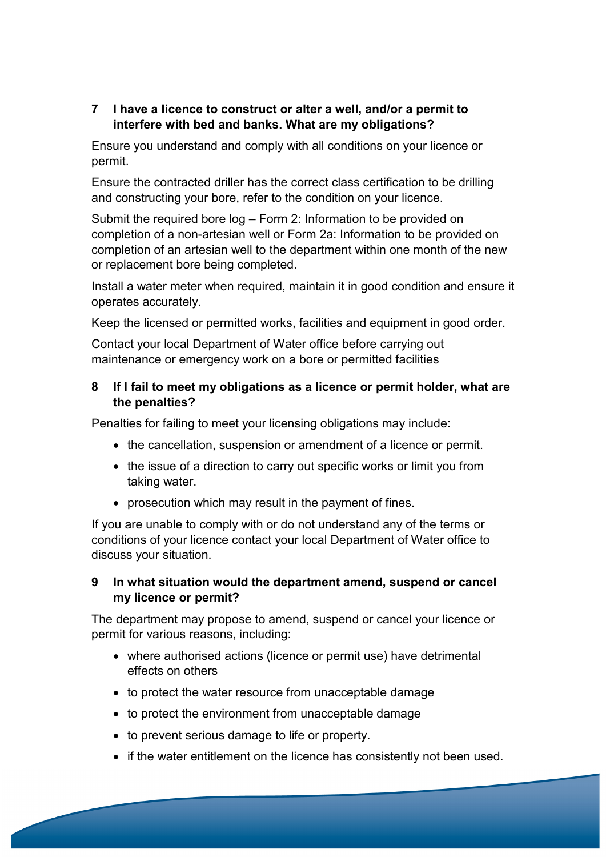#### **7 I have a licence to construct or alter a well, and/or a permit to interfere with bed and banks. What are my obligations?**

Ensure you understand and comply with all conditions on your licence or permit.

Ensure the contracted driller has the correct class certification to be drilling and constructing your bore, refer to the condition on your licence.

Submit the required bore log – Form 2: Information to be provided on completion of a non-artesian well or Form 2a: Information to be provided on completion of an artesian well to the department within one month of the new or replacement bore being completed.

Install a water meter when required, maintain it in good condition and ensure it operates accurately.

Keep the licensed or permitted works, facilities and equipment in good order.

Contact your local Department of Water office before carrying out maintenance or emergency work on a bore or permitted facilities

#### **8 If I fail to meet my obligations as a licence or permit holder, what are the penalties?**

Penalties for failing to meet your licensing obligations may include:

- the cancellation, suspension or amendment of a licence or permit.
- the issue of a direction to carry out specific works or limit you from taking water.
- prosecution which may result in the payment of fines.

If you are unable to comply with or do not understand any of the terms or conditions of your licence contact your local Department of Water office to discuss your situation.

#### **9 In what situation would the department amend, suspend or cancel my licence or permit?**

The department may propose to amend, suspend or cancel your licence or permit for various reasons, including:

- where authorised actions (licence or permit use) have detrimental effects on others
- to protect the water resource from unacceptable damage
- to protect the environment from unacceptable damage
- to prevent serious damage to life or property.
- if the water entitlement on the licence has consistently not been used.